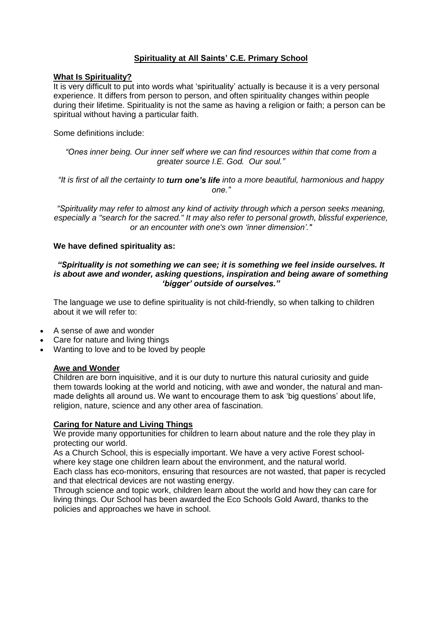## **Spirituality at All Saints' C.E. Primary School**

### **What Is Spirituality?**

It is very difficult to put into words what 'spirituality' actually is because it is a very personal experience. It differs from person to person, and often spirituality changes within people during their lifetime. Spirituality is not the same as having a religion or faith; a person can be spiritual without having a particular faith.

Some definitions include:

*"Ones inner being. Our inner self where we can find resources within that come from a greater source I.E. God. Our soul."*

*"It is first of all the certainty to turn one's life into a more beautiful, harmonious and happy one."*

*"Spirituality may refer to almost any kind of activity through which a person seeks meaning, especially a "search for the sacred." It may also refer to personal growth, blissful experience, or an encounter with one's own 'inner dimension'."*

### **We have defined spirituality as:**

### *"Spirituality is not something we can see; it is something we feel inside ourselves. It is about awe and wonder, asking questions, inspiration and being aware of something 'bigger' outside of ourselves."*

The language we use to define spirituality is not child-friendly, so when talking to children about it we will refer to:

- A sense of awe and wonder
- Care for nature and living things
- Wanting to love and to be loved by people

#### **Awe and Wonder**

Children are born inquisitive, and it is our duty to nurture this natural curiosity and guide them towards looking at the world and noticing, with awe and wonder, the natural and manmade delights all around us. We want to encourage them to ask 'big questions' about life, religion, nature, science and any other area of fascination.

#### **Caring for Nature and Living Things**

We provide many opportunities for children to learn about nature and the role they play in protecting our world.

As a Church School, this is especially important. We have a very active Forest schoolwhere key stage one children learn about the environment, and the natural world. Each class has eco-monitors, ensuring that resources are not wasted, that paper is recycled and that electrical devices are not wasting energy.

Through science and topic work, children learn about the world and how they can care for living things. Our School has been awarded the Eco Schools Gold Award, thanks to the policies and approaches we have in school.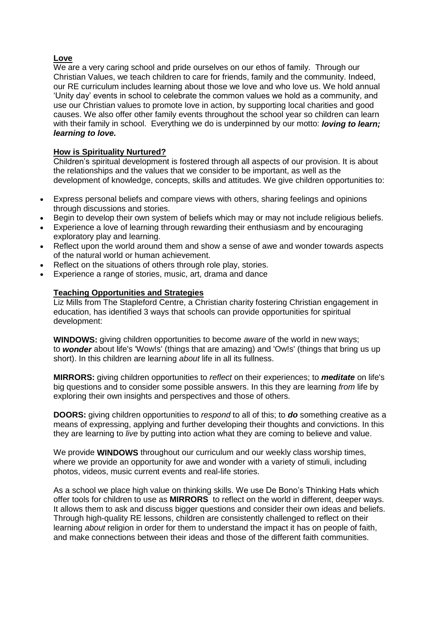# **Love**

We are a very caring school and pride ourselves on our ethos of family. Through our Christian Values, we teach children to care for friends, family and the community. Indeed, our RE curriculum includes learning about those we love and who love us. We hold annual 'Unity day' events in school to celebrate the common values we hold as a community, and use our Christian values to promote love in action, by supporting local charities and good causes. We also offer other family events throughout the school year so children can learn with their family in school. Everything we do is underpinned by our motto: *loving to learn; learning to love.* 

## **How is Spirituality Nurtured?**

Children's spiritual development is fostered through all aspects of our provision. It is about the relationships and the values that we consider to be important, as well as the development of knowledge, concepts, skills and attitudes. We give children opportunities to:

- Express personal beliefs and compare views with others, sharing feelings and opinions through discussions and stories.
- Begin to develop their own system of beliefs which may or may not include religious beliefs.
- Experience a love of learning through rewarding their enthusiasm and by encouraging exploratory play and learning.
- Reflect upon the world around them and show a sense of awe and wonder towards aspects of the natural world or human achievement.
- Reflect on the situations of others through role play, stories.
- Experience a range of stories, music, art, drama and dance

## **Teaching Opportunities and Strategies**

Liz Mills from The Stapleford Centre, a Christian charity fostering Christian engagement in education, has identified 3 ways that schools can provide opportunities for spiritual development:

**WINDOWS:** giving children opportunities to become *aware* of the world in new ways; to *wonder* about life's 'Wow!s' (things that are amazing) and 'Ow!s' (things that bring us up short). In this children are learning *about* life in all its fullness.

**MIRRORS:** giving children opportunities to *reflect* on their experiences; to *meditate* on life's big questions and to consider some possible answers. In this they are learning *from* life by exploring their own insights and perspectives and those of others.

**DOORS:** giving children opportunities to *respond* to all of this; to *do* something creative as a means of expressing, applying and further developing their thoughts and convictions. In this they are learning to *live* by putting into action what they are coming to believe and value.

We provide **WINDOWS** throughout our curriculum and our weekly class worship times, where we provide an opportunity for awe and wonder with a variety of stimuli, including photos, videos, music current events and real-life stories.

As a school we place high value on thinking skills. We use De Bono's Thinking Hats which offer tools for children to use as **MIRRORS** to reflect on the world in different, deeper ways. It allows them to ask and discuss bigger questions and consider their own ideas and beliefs. Through high-quality RE lessons, children are consistently challenged to reflect on their learning *about* religion in order for them to understand the impact it has on people of faith, and make connections between their ideas and those of the different faith communities.